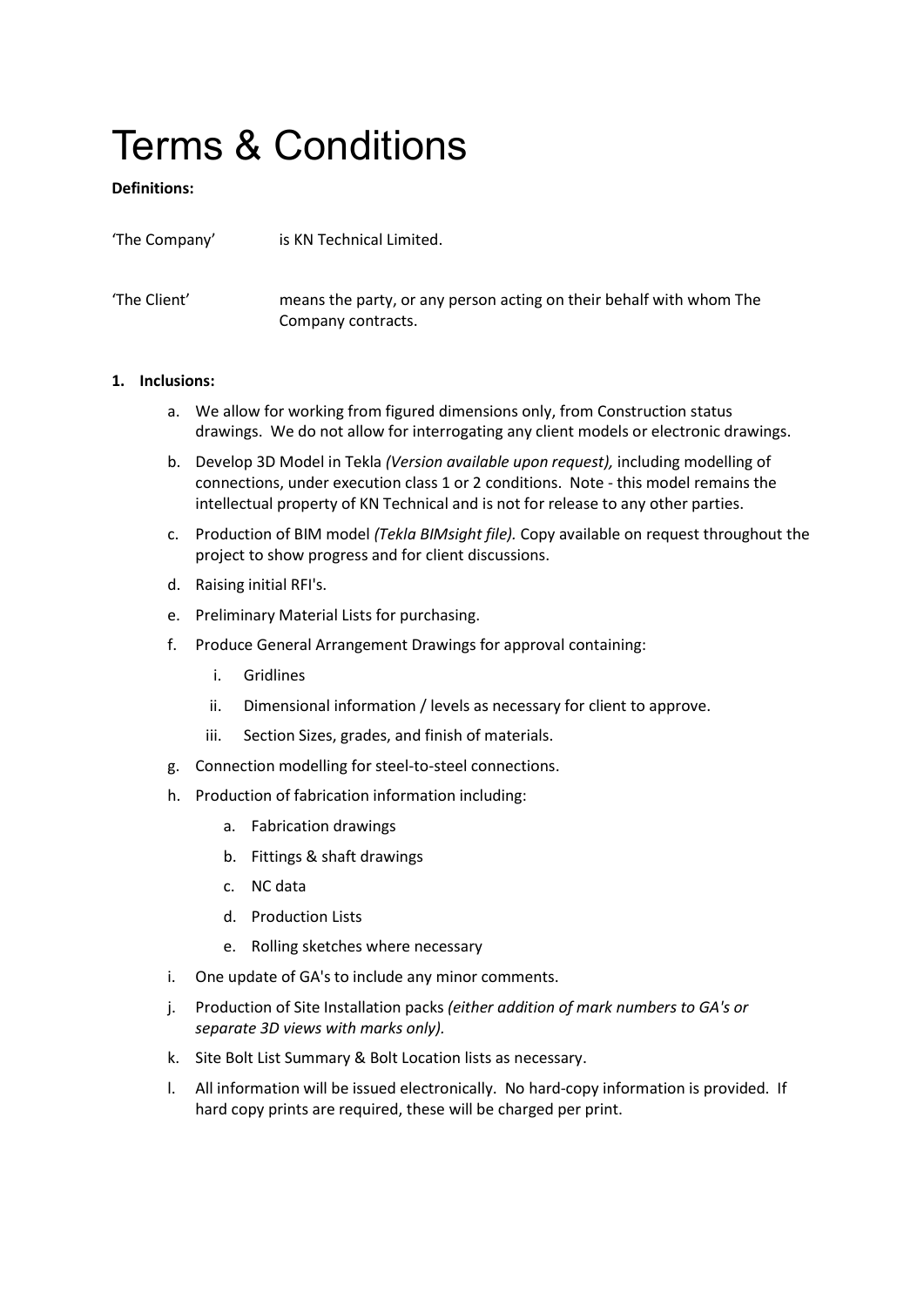# Terms & Conditions

# Definitions:

| 'The Company' | is KN Technical Limited.                                                                  |
|---------------|-------------------------------------------------------------------------------------------|
| 'The Client'  | means the party, or any person acting on their behalf with whom The<br>Company contracts. |

## 1. Inclusions:

- a. We allow for working from figured dimensions only, from Construction status drawings. We do not allow for interrogating any client models or electronic drawings.
- b. Develop 3D Model in Tekla (Version available upon request), including modelling of connections, under execution class 1 or 2 conditions. Note - this model remains the intellectual property of KN Technical and is not for release to any other parties.
- c. Production of BIM model (Tekla BIMsight file). Copy available on request throughout the project to show progress and for client discussions.
- d. Raising initial RFI's.
- e. Preliminary Material Lists for purchasing.
- f. Produce General Arrangement Drawings for approval containing:
	- i. Gridlines
	- ii. Dimensional information / levels as necessary for client to approve.
	- iii. Section Sizes, grades, and finish of materials.
- g. Connection modelling for steel-to-steel connections.
- h. Production of fabrication information including:
	- a. Fabrication drawings
	- b. Fittings & shaft drawings
	- c. NC data
	- d. Production Lists
	- e. Rolling sketches where necessary
- i. One update of GA's to include any minor comments.
- j. Production of Site Installation packs (either addition of mark numbers to GA's or separate 3D views with marks only).
- k. Site Bolt List Summary & Bolt Location lists as necessary.
- l. All information will be issued electronically. No hard-copy information is provided. If hard copy prints are required, these will be charged per print.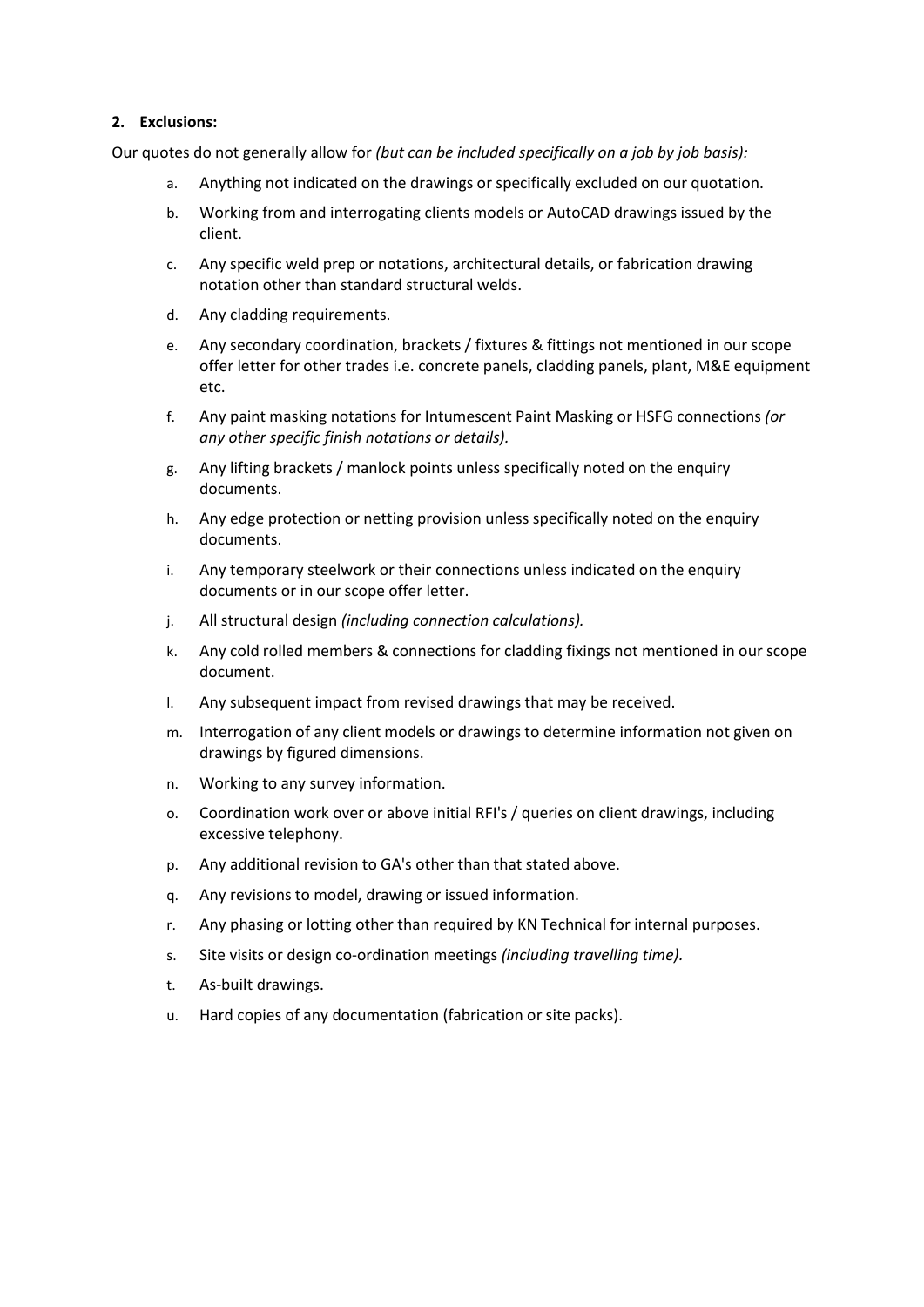### 2. Exclusions:

Our quotes do not generally allow for (but can be included specifically on a job by job basis):

- a. Anything not indicated on the drawings or specifically excluded on our quotation.
- b. Working from and interrogating clients models or AutoCAD drawings issued by the client.
- c. Any specific weld prep or notations, architectural details, or fabrication drawing notation other than standard structural welds.
- d. Any cladding requirements.
- e. Any secondary coordination, brackets / fixtures & fittings not mentioned in our scope offer letter for other trades i.e. concrete panels, cladding panels, plant, M&E equipment etc.
- f. Any paint masking notations for Intumescent Paint Masking or HSFG connections (or any other specific finish notations or details).
- g. Any lifting brackets / manlock points unless specifically noted on the enquiry documents.
- h. Any edge protection or netting provision unless specifically noted on the enquiry documents.
- i. Any temporary steelwork or their connections unless indicated on the enquiry documents or in our scope offer letter.
- j. All structural design (including connection calculations).
- k. Any cold rolled members & connections for cladding fixings not mentioned in our scope document.
- l. Any subsequent impact from revised drawings that may be received.
- m. Interrogation of any client models or drawings to determine information not given on drawings by figured dimensions.
- n. Working to any survey information.
- o. Coordination work over or above initial RFI's / queries on client drawings, including excessive telephony.
- p. Any additional revision to GA's other than that stated above.
- q. Any revisions to model, drawing or issued information.
- r. Any phasing or lotting other than required by KN Technical for internal purposes.
- s. Site visits or design co-ordination meetings *(including travelling time).*
- t. As-built drawings.
- u. Hard copies of any documentation (fabrication or site packs).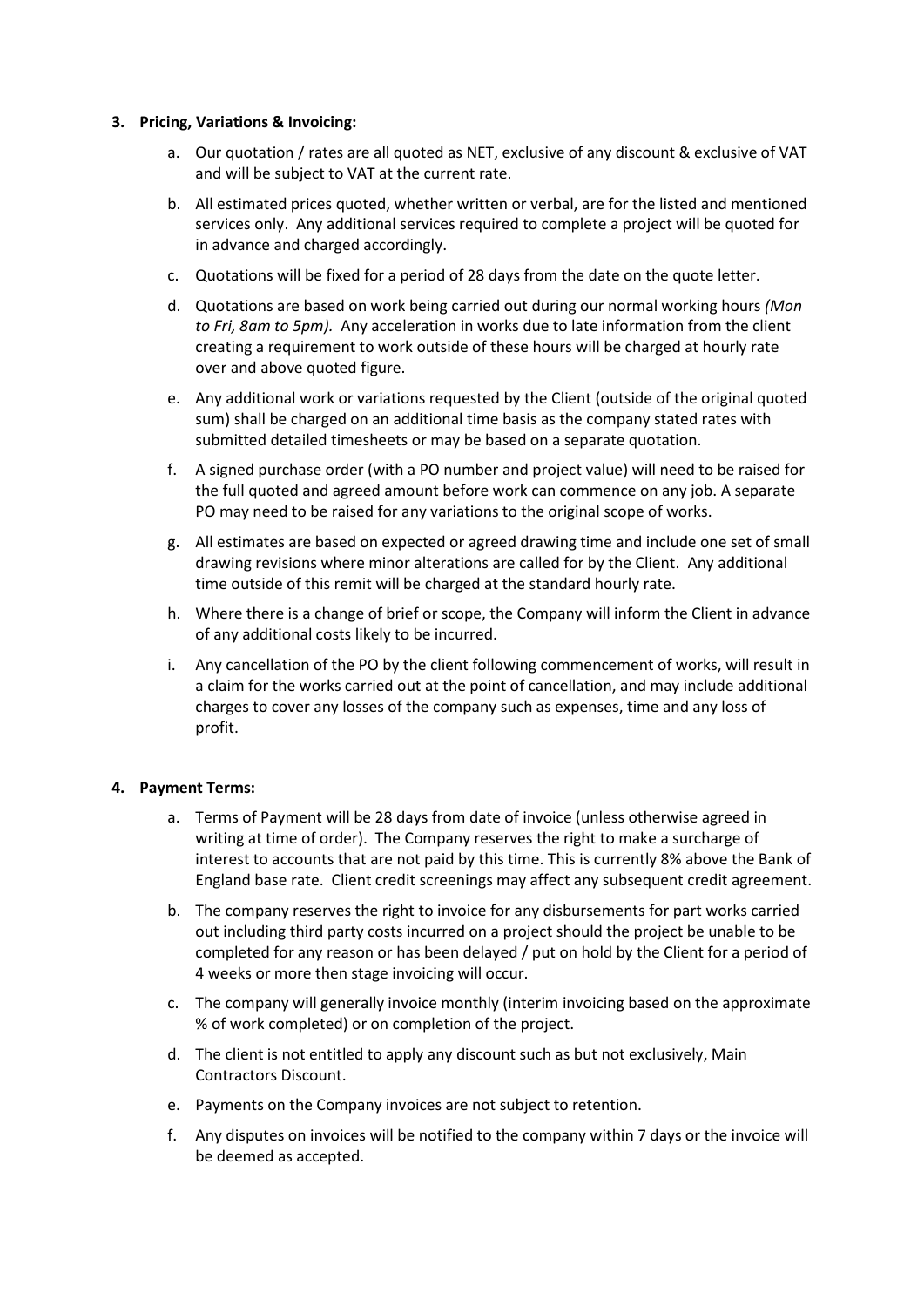#### 3. Pricing, Variations & Invoicing:

- a. Our quotation / rates are all quoted as NET, exclusive of any discount & exclusive of VAT and will be subject to VAT at the current rate.
- b. All estimated prices quoted, whether written or verbal, are for the listed and mentioned services only. Any additional services required to complete a project will be quoted for in advance and charged accordingly.
- c. Quotations will be fixed for a period of 28 days from the date on the quote letter.
- d. Quotations are based on work being carried out during our normal working hours (Mon to Fri, 8am to 5pm). Any acceleration in works due to late information from the client creating a requirement to work outside of these hours will be charged at hourly rate over and above quoted figure.
- e. Any additional work or variations requested by the Client (outside of the original quoted sum) shall be charged on an additional time basis as the company stated rates with submitted detailed timesheets or may be based on a separate quotation.
- f. A signed purchase order (with a PO number and project value) will need to be raised for the full quoted and agreed amount before work can commence on any job. A separate PO may need to be raised for any variations to the original scope of works.
- g. All estimates are based on expected or agreed drawing time and include one set of small drawing revisions where minor alterations are called for by the Client. Any additional time outside of this remit will be charged at the standard hourly rate.
- h. Where there is a change of brief or scope, the Company will inform the Client in advance of any additional costs likely to be incurred.
- i. Any cancellation of the PO by the client following commencement of works, will result in a claim for the works carried out at the point of cancellation, and may include additional charges to cover any losses of the company such as expenses, time and any loss of profit.

#### 4. Payment Terms:

- a. Terms of Payment will be 28 days from date of invoice (unless otherwise agreed in writing at time of order). The Company reserves the right to make a surcharge of interest to accounts that are not paid by this time. This is currently 8% above the Bank of England base rate. Client credit screenings may affect any subsequent credit agreement.
- b. The company reserves the right to invoice for any disbursements for part works carried out including third party costs incurred on a project should the project be unable to be completed for any reason or has been delayed / put on hold by the Client for a period of 4 weeks or more then stage invoicing will occur.
- c. The company will generally invoice monthly (interim invoicing based on the approximate % of work completed) or on completion of the project.
- d. The client is not entitled to apply any discount such as but not exclusively, Main Contractors Discount.
- e. Payments on the Company invoices are not subject to retention.
- f. Any disputes on invoices will be notified to the company within 7 days or the invoice will be deemed as accepted.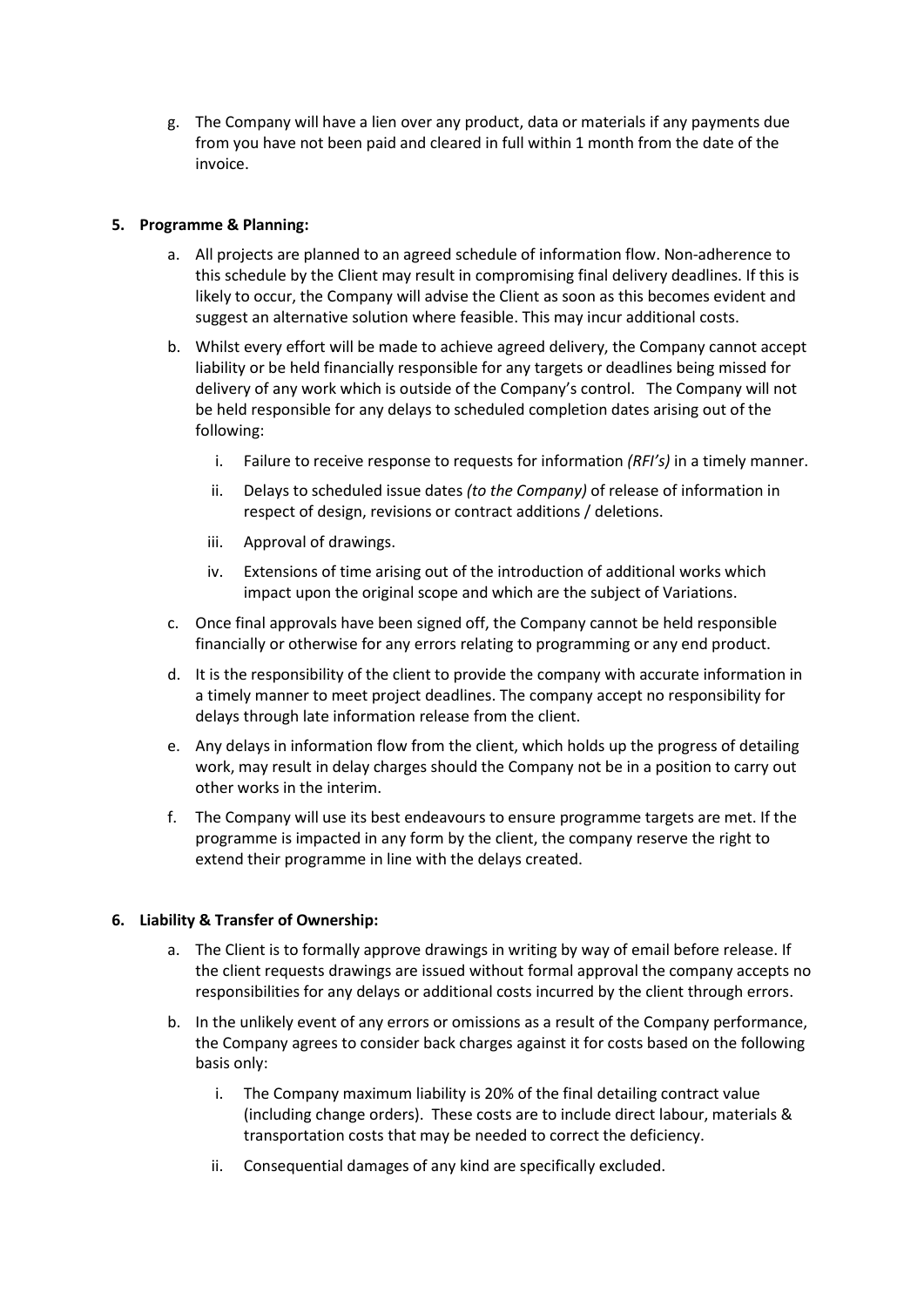g. The Company will have a lien over any product, data or materials if any payments due from you have not been paid and cleared in full within 1 month from the date of the invoice.

## 5. Programme & Planning:

- a. All projects are planned to an agreed schedule of information flow. Non-adherence to this schedule by the Client may result in compromising final delivery deadlines. If this is likely to occur, the Company will advise the Client as soon as this becomes evident and suggest an alternative solution where feasible. This may incur additional costs.
- b. Whilst every effort will be made to achieve agreed delivery, the Company cannot accept liability or be held financially responsible for any targets or deadlines being missed for delivery of any work which is outside of the Company's control. The Company will not be held responsible for any delays to scheduled completion dates arising out of the following:
	- i. Failure to receive response to requests for information  $(RF/S)$  in a timely manner.
	- ii. Delays to scheduled issue dates (to the Company) of release of information in respect of design, revisions or contract additions / deletions.
	- iii. Approval of drawings.
	- iv. Extensions of time arising out of the introduction of additional works which impact upon the original scope and which are the subject of Variations.
- c. Once final approvals have been signed off, the Company cannot be held responsible financially or otherwise for any errors relating to programming or any end product.
- d. It is the responsibility of the client to provide the company with accurate information in a timely manner to meet project deadlines. The company accept no responsibility for delays through late information release from the client.
- e. Any delays in information flow from the client, which holds up the progress of detailing work, may result in delay charges should the Company not be in a position to carry out other works in the interim.
- f. The Company will use its best endeavours to ensure programme targets are met. If the programme is impacted in any form by the client, the company reserve the right to extend their programme in line with the delays created.

## 6. Liability & Transfer of Ownership:

- a. The Client is to formally approve drawings in writing by way of email before release. If the client requests drawings are issued without formal approval the company accepts no responsibilities for any delays or additional costs incurred by the client through errors.
- b. In the unlikely event of any errors or omissions as a result of the Company performance, the Company agrees to consider back charges against it for costs based on the following basis only:
	- i. The Company maximum liability is 20% of the final detailing contract value (including change orders). These costs are to include direct labour, materials & transportation costs that may be needed to correct the deficiency.
	- ii. Consequential damages of any kind are specifically excluded.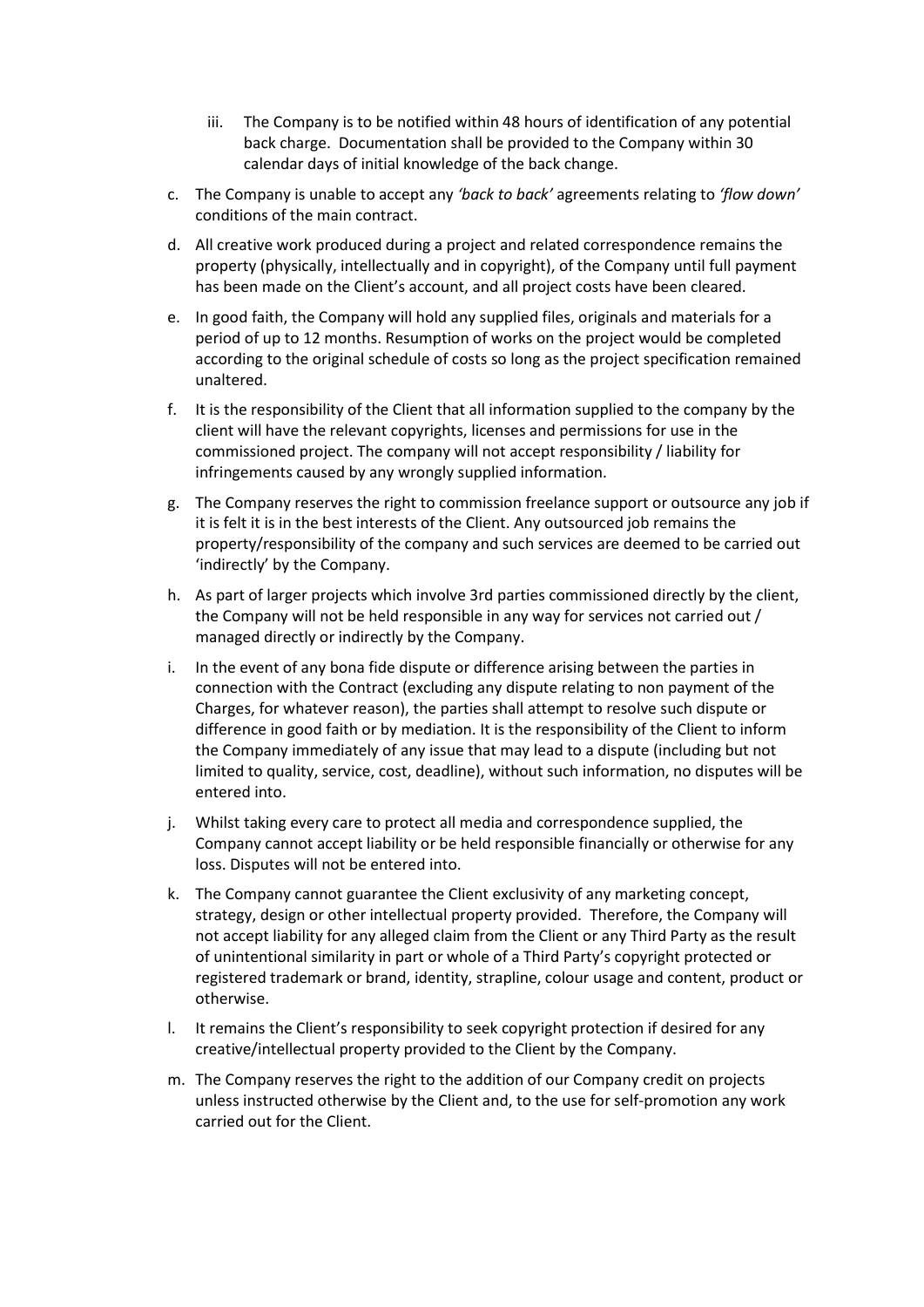- iii. The Company is to be notified within 48 hours of identification of any potential back charge. Documentation shall be provided to the Company within 30 calendar days of initial knowledge of the back change.
- c. The Company is unable to accept any 'back to back' agreements relating to 'flow down' conditions of the main contract.
- d. All creative work produced during a project and related correspondence remains the property (physically, intellectually and in copyright), of the Company until full payment has been made on the Client's account, and all project costs have been cleared.
- e. In good faith, the Company will hold any supplied files, originals and materials for a period of up to 12 months. Resumption of works on the project would be completed according to the original schedule of costs so long as the project specification remained unaltered.
- f. It is the responsibility of the Client that all information supplied to the company by the client will have the relevant copyrights, licenses and permissions for use in the commissioned project. The company will not accept responsibility / liability for infringements caused by any wrongly supplied information.
- g. The Company reserves the right to commission freelance support or outsource any job if it is felt it is in the best interests of the Client. Any outsourced job remains the property/responsibility of the company and such services are deemed to be carried out 'indirectly' by the Company.
- h. As part of larger projects which involve 3rd parties commissioned directly by the client, the Company will not be held responsible in any way for services not carried out / managed directly or indirectly by the Company.
- i. In the event of any bona fide dispute or difference arising between the parties in connection with the Contract (excluding any dispute relating to non payment of the Charges, for whatever reason), the parties shall attempt to resolve such dispute or difference in good faith or by mediation. It is the responsibility of the Client to inform the Company immediately of any issue that may lead to a dispute (including but not limited to quality, service, cost, deadline), without such information, no disputes will be entered into.
- j. Whilst taking every care to protect all media and correspondence supplied, the Company cannot accept liability or be held responsible financially or otherwise for any loss. Disputes will not be entered into.
- k. The Company cannot guarantee the Client exclusivity of any marketing concept, strategy, design or other intellectual property provided. Therefore, the Company will not accept liability for any alleged claim from the Client or any Third Party as the result of unintentional similarity in part or whole of a Third Party's copyright protected or registered trademark or brand, identity, strapline, colour usage and content, product or otherwise.
- l. It remains the Client's responsibility to seek copyright protection if desired for any creative/intellectual property provided to the Client by the Company.
- m. The Company reserves the right to the addition of our Company credit on projects unless instructed otherwise by the Client and, to the use for self-promotion any work carried out for the Client.